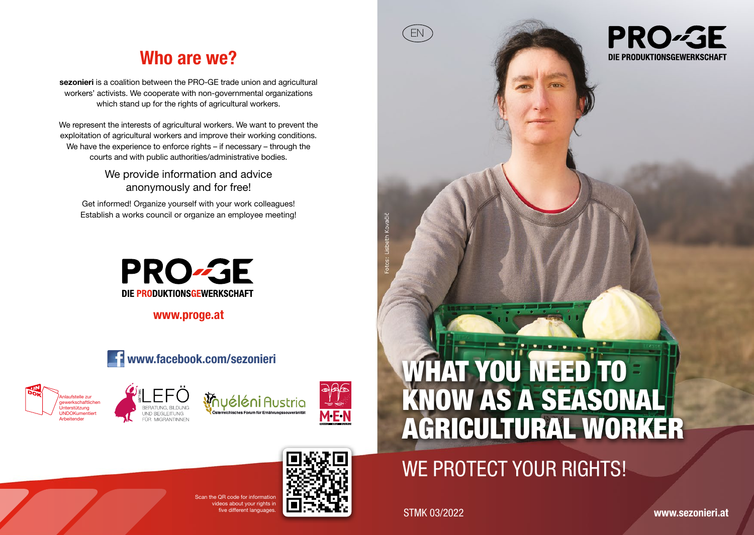# Who are we?

sezonieri is a coalition between the PRO-GE trade union and agricultural workers' activists. We cooperate with non-governmental organizations which stand up for the rights of agricultural workers.

We represent the interests of agricultural workers. We want to prevent the exploitation of agricultural workers and improve their working conditions. We have the experience to enforce rights – if necessary – through the courts and with public authorities/administrative bodies.

> We provide information and advice anonymously and for free!

Get informed! Organize yourself with your work colleagues! Establish a works council or organize an employee meeting!



www.proge.at











# WE PROTECT YOUR RIGHTS!

Five different languages. STMK 03/2022

EN

**PRO-GE** DIE PRODUKTIONSGEWERKSCHAFT



 $S_{\text{max}}$   $\cap$   $D$  code for information ideos about your rights in